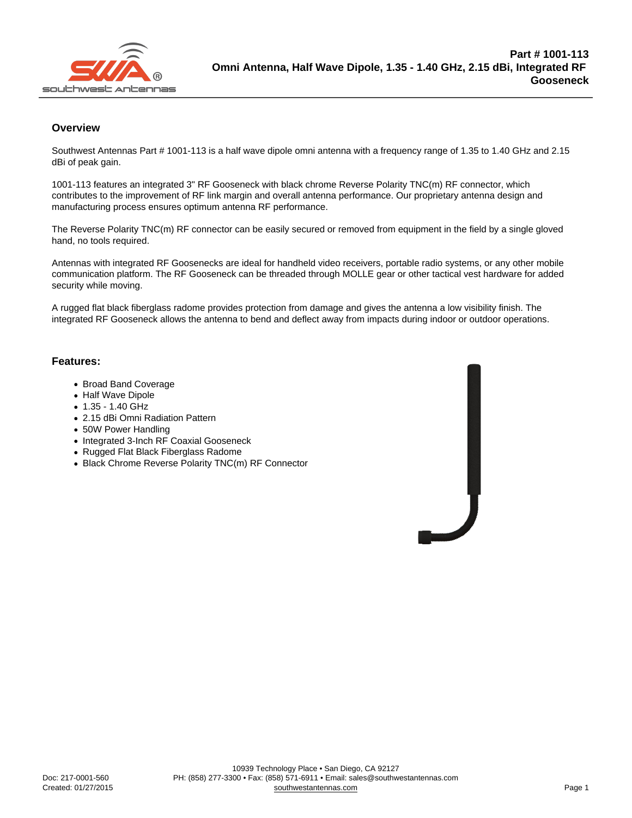## **Overview**

Southwest Antennas Part # 1001-113 is a half wave dipole omni antenna with a frequency range of 1.35 to 1.40 GHz and 2.15 dBi of peak gain.

1001-113 features an integrated 3" RF Gooseneck with black chrome Reverse Polarity TNC(m) RF connector, which contributes to the improvement of RF link margin and overall antenna performance. Our proprietary antenna design and manufacturing process ensures optimum antenna RF performance.

The Reverse Polarity TNC(m) RF connector can be easily secured or removed from equipment in the field by a single gloved hand, no tools required.

Antennas with integrated RF Goosenecks are ideal for handheld video receivers, portable radio systems, or any other mobile communication platform. The RF Gooseneck can be threaded through MOLLE gear or other tactical vest hardware for added security while moving.

A rugged flat black fiberglass radome provides protection from damage and gives the antenna a low visibility finish. The integrated RF Gooseneck allows the antenna to bend and deflect away from impacts during indoor or outdoor operations.

## Features:

- Broad Band Coverage
- Half Wave Dipole
- $1.35 1.40$  GHz
- 2.15 dBi Omni Radiation Pattern
- 50W Power Handling
- Integrated 3-Inch RF Coaxial Gooseneck
- Rugged Flat Black Fiberglass Radome
- Black Chrome Reverse Polarity TNC(m) RF Connector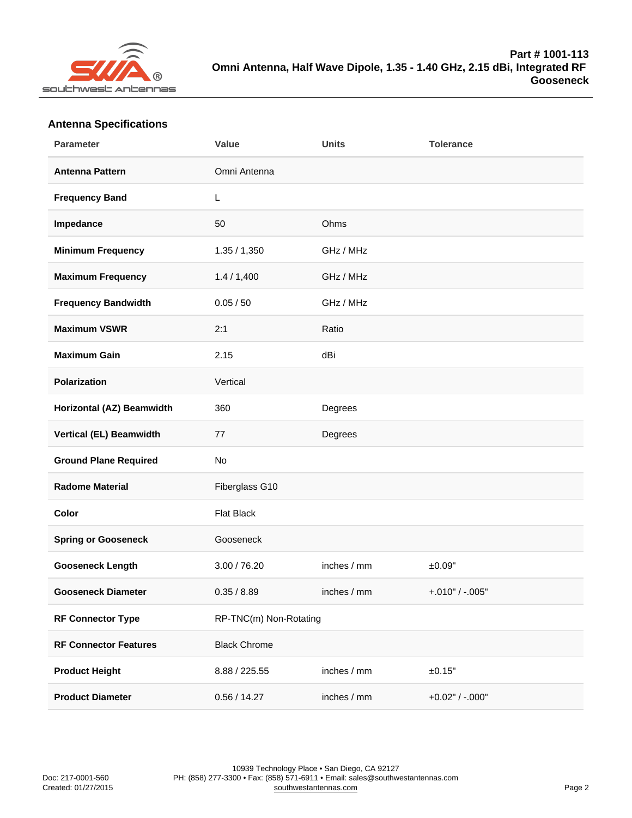## Antenna Specifications

| Parameter                    | Value                  | Units       | Tolerance         |
|------------------------------|------------------------|-------------|-------------------|
| Antenna Pattern              | Omni Antenna           |             |                   |
| <b>Frequency Band</b>        | L                      |             |                   |
| Impedance                    | 50                     | Ohms        |                   |
| Minimum Frequency            | 1.35 / 1,350           | GHz / MHz   |                   |
| Maximum Frequency            | 1.4 / 1,400            | GHz / MHz   |                   |
| Frequency Bandwidth          | 0.05 / 50              | GHz / MHz   |                   |
| Maximum VSWR                 | 2:1                    | Ratio       |                   |
| Maximum Gain                 | 2.15                   | dBi         |                   |
| Polarization                 | Vertical               |             |                   |
| Horizontal (AZ) Beamwidth    | 360                    | Degrees     |                   |
| Vertical (EL) Beamwidth      | 77                     | Degrees     |                   |
| <b>Ground Plane Required</b> | No                     |             |                   |
| Radome Material              | Fiberglass G10         |             |                   |
| Color                        | <b>Flat Black</b>      |             |                   |
| Spring or Gooseneck          | Gooseneck              |             |                   |
| Gooseneck Length             | 3.00 / 76.20           | inches / mm | ±0.09"            |
| Gooseneck Diameter           | 0.35 / 8.89            | inches / mm | $+.010" / -.005"$ |
| RF Connector Type            | RP-TNC(m) Non-Rotating |             |                   |
| <b>RF Connector Features</b> | <b>Black Chrome</b>    |             |                   |
| Product Height               | 8.88 / 225.55          | inches / mm | ±0.15"            |
| <b>Product Diameter</b>      | 0.56 / 14.27           | inches / mm | $+0.02"$ / -.000" |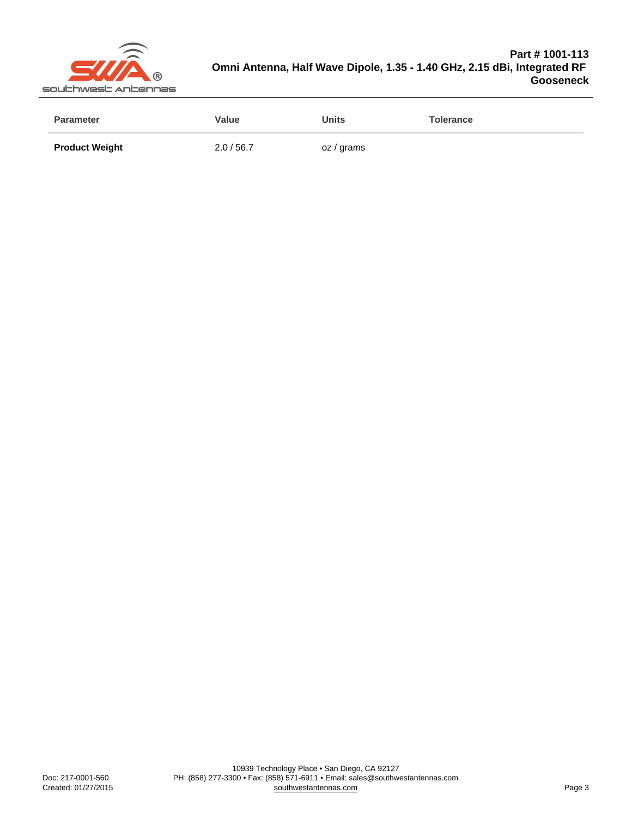| Parameter             | Value    | <b>Units</b> | Tolerance |
|-----------------------|----------|--------------|-----------|
| <b>Product Weight</b> | 2.0/56.7 | oz / grams   |           |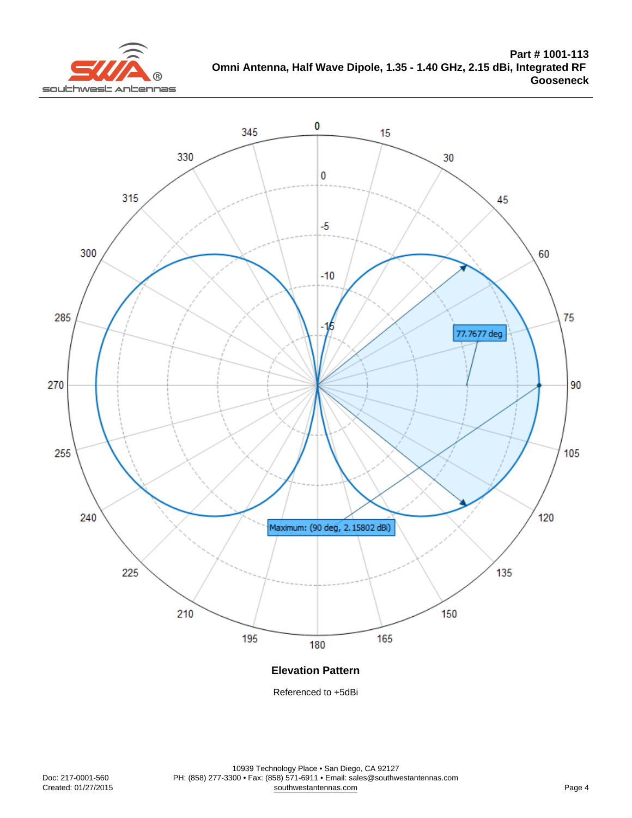Elevation Pattern

Referenced to +5dBi